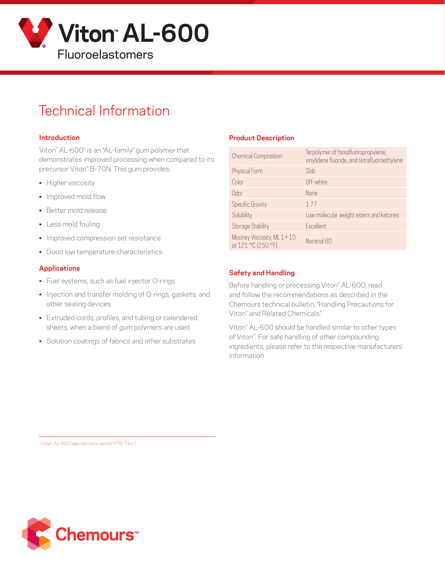

# Technical Information

#### **Introduction**

Viton™ AL-600\* is an "AL-family" gum polymer that demonstrates improved processing when compared to its precursor Viton™ B-70N. This gum provides:

- Higher viscosity
- Improved mold flow
- Better mold release
- Less mold fouling
- Improved compression set resistance
- Good low temperature characteristics

#### **Applications**

- Fuel systems, such as fuel injector O-rings
- Injection and transfer molding of O-rings, gaskets, and other sealing devices
- Extruded cords, profiles, and tubing or calendered sheets, when a blend of gum polymers are used
- Solution coatings of fabrics and other substrates

#### **Product Description**

| <b>Chemical Composition</b>                     | Terpolymer of hexafluoropropylene,<br>vinylidene fluoride, and tetrafluoroethylene |
|-------------------------------------------------|------------------------------------------------------------------------------------|
| Physical Form                                   | Slab                                                                               |
| Color                                           | Off-white                                                                          |
| Odor                                            | <b>None</b>                                                                        |
| <b>Specific Gravity</b>                         | 177                                                                                |
| Solubility                                      | Low molecular weight esters and ketones                                            |
| <b>Storage Stability</b>                        | Excellent                                                                          |
| Mooney Viscosity, ML 1+10<br>at 121 °C (250 °F) | Nominal 60                                                                         |

#### **Safety and Handling**

Before handling or processing Viton™ AL-600, read and follow the recommendations as described in the Chemours technical bulletin, "Handling Precautions for Viton™ and Related Chemicals."

Viton™ AL-600 should be handled similar to other types of Viton™. For safe handling of other compounding ingredients, please refer to the respective manufacturers' information.

\*Viton™ AL-600 was formerly named VTR-7447.

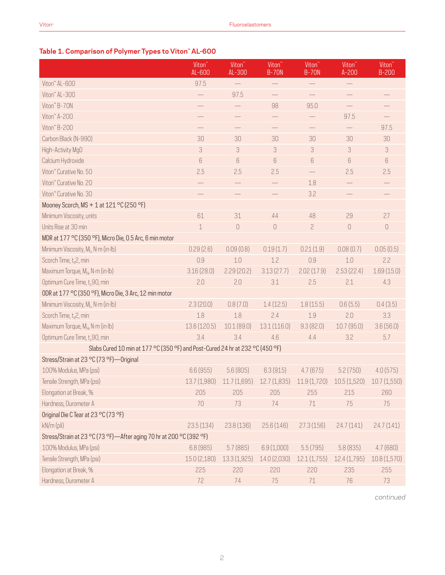# **Table 1. Comparison of Polymer Types to Viton™ AL-600**

|                                                                               | Viton <sup>"</sup><br>AL-600 | Viton <sup>"</sup><br>AL-300 | Viton <sup>®</sup><br><b>B-70N</b> | Viton <sup>®</sup><br><b>B-70N</b> | Viton <sup>"</sup><br>$A-200$ | Viton <sup>"</sup><br>$B-200$   |  |
|-------------------------------------------------------------------------------|------------------------------|------------------------------|------------------------------------|------------------------------------|-------------------------------|---------------------------------|--|
| Viton" AL-600                                                                 | 97.5                         | $\overline{\phantom{0}}$     |                                    |                                    |                               |                                 |  |
| Viton" AL-300                                                                 |                              | 97.5                         | $\qquad \qquad -$                  | $\qquad \qquad -$                  | $\qquad \qquad -$             |                                 |  |
| Viton" B-70N                                                                  |                              |                              | 98                                 | 95.0                               |                               |                                 |  |
| Viton" A-200                                                                  |                              | $\overline{\phantom{0}}$     | $\overbrace{\phantom{13333}}$      | $\qquad \qquad -$                  | 97.5                          |                                 |  |
| Viton" B-200                                                                  |                              |                              |                                    |                                    |                               | 97.5                            |  |
| Carbon Black (N-990)                                                          | 30                           | 30                           | 30                                 | 30                                 | 30                            | 30                              |  |
| High-Activity MgO                                                             | 3                            | 3                            | 3                                  | 3                                  | 3                             | 3                               |  |
| Calcium Hydroxide                                                             | 6                            | 6                            | 6                                  | $6\,$                              | 6                             | 6                               |  |
| Viton" Curative No. 50                                                        | 2.5                          | 2.5                          | 2.5                                |                                    | 2.5                           | 2.5                             |  |
| Viton" Curative No. 20                                                        |                              | $\overline{\phantom{0}}$     | $\qquad \qquad -$                  | 1.8                                | $\qquad \qquad -$             |                                 |  |
| Viton" Curative No. 30                                                        |                              |                              |                                    | 3.2                                |                               |                                 |  |
| Mooney Scorch, MS + 1 at 121 °C (250 °F)                                      |                              |                              |                                    |                                    |                               |                                 |  |
| Minimum Viscosity, units                                                      | 61                           | 31                           | 44                                 | 48                                 | 29                            | 27                              |  |
| Units Rise at 30 min                                                          | $\mathbf 1$                  | $\cup$                       | $\mathbf 0$                        | $\overline{c}$                     | $\cup$                        | $\begin{matrix} 0 \end{matrix}$ |  |
| MDR at 177 °C (350 °F), Micro Die, 0.5 Arc, 6 min motor                       |                              |                              |                                    |                                    |                               |                                 |  |
| Minimum Viscosity, M <sub>i</sub> , N·m (in·lb)                               | 0.29(2.6)                    | 0.09(0.8)                    | 0.19(1.7)                          | 0.21(1.9)                          | 0.08(0.7)                     | 0.05(0.5)                       |  |
| Scorch Time, t <sub>s</sub> 2, min                                            | 0.9                          | 1.0                          | 1.2                                | 0.9                                | 1.0                           | 2.2                             |  |
| Maximum Torque, M <sub>H</sub> , N·m (in·lb)                                  | 3.16(28.0)                   | 2.29(20.2)                   | 3.13(27.7)                         | 2.02(17.9)                         | 2.53(22.4)                    | 1.69(15.0)                      |  |
| Optimum Cure Time, t <sub>c</sub> 90, min                                     | 2.0                          | 2.0                          | 3.1                                | 2.5                                | 2.1                           | 4.3                             |  |
| ODR at 177 °C (350 °F), Micro Die, 3 Arc, 12 min motor                        |                              |                              |                                    |                                    |                               |                                 |  |
| Minimum Viscosity, ML, N·m (in·lb)                                            | 2.3(20.0)                    | 0.8(7.0)                     | 1.4(12.5)                          | 1.8(15.5)                          | 0.6(5.5)                      | 0.4(3.5)                        |  |
| Scorch Time, $t_s2$ , min                                                     | 1.8                          | 1.8                          | 2.4                                | 1.9                                | 2.0                           | 3.3                             |  |
| Maximum Torque, M <sub>H</sub> , N·m (in·lb)                                  | 13.6 (120.5)                 | 10.1(89.0)                   | 13.1(116.0)                        | 9.3(82.0)                          | 10.7(95.0)                    | 3.6(56.0)                       |  |
| Optimum Cure Time, t <sub>c</sub> 90, min                                     | 3.4                          | 3.4                          | 4.6                                | 4.4                                | 3.2                           | 5.7                             |  |
| Slabs Cured 10 min at 177 °C (350 °F) and Post-Cured 24 hr at 232 °C (450 °F) |                              |                              |                                    |                                    |                               |                                 |  |
| Stress/Strain at 23 °C (73 °F)-Original                                       |                              |                              |                                    |                                    |                               |                                 |  |
| 100% Modulus, MPa (psi)                                                       | 6.6(955)                     | 5.6(805)                     | 6.3(915)                           | 4.7(675)                           | 5.2(750)                      | 4.0(575)                        |  |
| Tensile Strength, MPa (psi)                                                   | 13.7 (1,980)                 | 11.7(1,695)                  | 12.7(1,835)                        | 11.9 (1,720)                       | 10.5(1,520)                   | 10.7(1,550)                     |  |
| Elongation at Break, %                                                        | 205                          | 205                          | 205                                | 255                                | 215                           | 260                             |  |
| Hardness, Durometer A                                                         | 70                           | 73                           | 74                                 | 71                                 | 75                            | 75                              |  |
| Original Die C Tear at 23 °C (73 °F)                                          |                              |                              |                                    |                                    |                               |                                 |  |
| kN/m (pli)                                                                    | 23.5(134)                    | 23.8(136)                    | 25.6(146)                          | 27.3(156)                          | 24.7(141)                     | 24.7(141)                       |  |
| Stress/Strain at 23 °C (73 °F)-After aging 70 hr at 200 °C (392 °F)           |                              |                              |                                    |                                    |                               |                                 |  |
| 100% Modulus, MPa (psi)                                                       | 6.8(985)                     | 5.7(885)                     | 6.9(1,000)                         | 5.5(795)                           | 5.8(835)                      | 4.7(680)                        |  |
| Tensile Strength, MPa (psi)                                                   | 15.0(2,180)                  | 13.3(1,925)                  | 14.0 (2,030)                       | 12.1(1,755)                        | 12.4(1,795)                   | 10.8(1,570)                     |  |
| Elongation at Break, %                                                        | 225                          | 220                          | 220                                | 220                                | 235                           | 255                             |  |
| Hardness, Durometer A                                                         | 72                           | 74                           | 75                                 | $71\,$                             | 76                            | 73                              |  |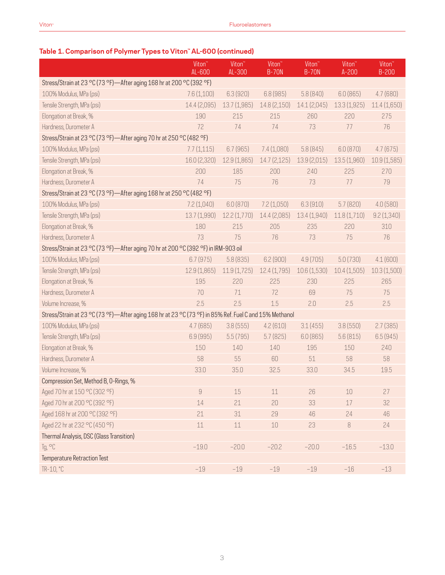|                                                                                                        | Viton <sup>"</sup><br>AL-600 | Viton <sup>"</sup><br>AL-300 | Viton <sup>"</sup><br><b>B-70N</b> | Viton <sup>"</sup><br><b>B-70N</b> | Viton <sup>"</sup><br>$A-200$ | Viton <sup>"</sup><br>$B-200$ |
|--------------------------------------------------------------------------------------------------------|------------------------------|------------------------------|------------------------------------|------------------------------------|-------------------------------|-------------------------------|
| Stress/Strain at 23 °C (73 °F)-After aging 168 hr at 200 °C (392 °F)                                   |                              |                              |                                    |                                    |                               |                               |
| 100% Modulus, MPa (psi)                                                                                | 7.6(1,100)                   | 6.3(920)                     | 6.8 (985)                          | 5.8(840)                           | 6.0(865)                      | 4.7(680)                      |
| Tensile Strength, MPa (psi)                                                                            | 14.4 (2,095)                 | 13.7 (1,985)                 | 14.8 (2,150)                       | 14.1(2,045)                        | 13.3(1,925)                   | 11.4(1,650)                   |
| Elongation at Break, %                                                                                 | 190                          | 215                          | 215                                | 260                                | 220                           | 275                           |
| Hardness, Durometer A                                                                                  | 72                           | 74                           | 74                                 | 73                                 | 77                            | 76                            |
| Stress/Strain at 23 °C (73 °F)—After aging 70 hr at 250 °C (482 °F)                                    |                              |                              |                                    |                                    |                               |                               |
| 100% Modulus, MPa (psi)                                                                                | 7.7(1,115)                   | 6.7(965)                     | 7.4(1,080)                         | 5.8(845)                           | 6.0(870)                      | 4.7(675)                      |
| Tensile Strength, MPa (psi)                                                                            | 16.0 (2,320)                 | 12.9(1,865)                  | 14.7(2,125)                        | 13.9 (2,015)                       | 13.5 (1,960)                  | 10.9(1,585)                   |
| Elongation at Break, %                                                                                 | 200                          | 185                          | 200                                | 240                                | 225                           | 270                           |
| Hardness, Durometer A                                                                                  | 74                           | 75                           | 76                                 | 73                                 | 77                            | 79                            |
| Stress/Strain at 23 °C (73 °F)-After aging 168 hr at 250 °C (482 °F)                                   |                              |                              |                                    |                                    |                               |                               |
| 100% Modulus, MPa (psi)                                                                                | 7.2(1,040)                   | 6.0(870)                     | 7.2(1,050)                         | 6.3(910)                           | 5.7(820)                      | 4.0(580)                      |
| Tensile Strength, MPa (psi)                                                                            | 13.7 (1,990)                 | 12.2(1,770)                  | 14.4 (2,085)                       | 13.4 (1,940)                       | 11.8(1,710)                   | 9.2(1,340)                    |
| Elongation at Break, %                                                                                 | 180                          | 215                          | 205                                | 235                                | 220                           | 310                           |
| Hardness, Durometer A                                                                                  | 73                           | 75                           | 76                                 | 73                                 | 75                            | 76                            |
| Stress/Strain at 23 °C (73 °F)-After aging 70 hr at 200 °C (392 °F) in IRM-903 oil                     |                              |                              |                                    |                                    |                               |                               |
| 100% Modulus, MPa (psi)                                                                                | 6.7(975)                     | 5.8(835)                     | 6.2(900)                           | 4.9(705)                           | 5.0(730)                      | 4.1(600)                      |
| Tensile Strength, MPa (psi)                                                                            | 12.9 (1,865)                 | 11.9(1,725)                  | 12.4(1,795)                        | 10.6(1,530)                        | 10.4(1,505)                   | 10.3(1,500)                   |
| Elongation at Break, %                                                                                 | 195                          | 220                          | 225                                | 230                                | 225                           | 265                           |
| Hardness, Durometer A                                                                                  | 70                           | 71                           | 72                                 | 69                                 | 75                            | 75                            |
| Volume Increase, %                                                                                     | 2.5                          | 2.5                          | 1.5                                | 2.0                                | 2.5                           | 2.5                           |
| Stress/Strain at 23 °C (73 °F)-After aging 168 hr at 23 °C (73 °F) in 85% Ref. Fuel C and 15% Methanol |                              |                              |                                    |                                    |                               |                               |
| 100% Modulus, MPa (psi)                                                                                | 4.7(685)                     | 3.8(555)                     | 4.2(610)                           | 3.1(455)                           | 3.8(550)                      | 2.7(385)                      |
| Tensile Strength, MPa (psi)                                                                            | 6.9 (995)                    | 5.5(795)                     | 5.7(825)                           | 6.0(865)                           | 5.6(815)                      | 6.5(945)                      |
| Elongation at Break, %                                                                                 | 150                          | 140                          | 140                                | 195                                | 150                           | 240                           |
| Hardness, Durometer A                                                                                  | 58                           | 55                           | 60                                 | 51                                 | 58                            | 58                            |
| Volume Increase, %                                                                                     | 33.0                         | 35.0                         | 32.5                               | 33.0                               | 34.5                          | 19.5                          |
| Compression Set, Method B, 0-Rings, %                                                                  |                              |                              |                                    |                                    |                               |                               |
| Aged 70 hr at 150 °C (302 °F)                                                                          | $\hbox{g}$                   | $15\,$                       | $11\,$                             | 26                                 | $10\,$                        | 27                            |
| Aged 70 hr at 200 °C (392 °F)                                                                          | 14                           | 21                           | 20                                 | 33                                 | 17                            | 32                            |
| Aged 168 hr at 200 °C (392 °F)                                                                         | 21                           | 31                           | 29                                 | 46                                 | 24                            | 46                            |
| Aged 22 hr at 232 °C (450 °F)                                                                          | 11                           | $11\,$                       | $10$                               | 23                                 | 8                             | 24                            |
| Thermal Analysis, DSC (Glass Transition)                                                               |                              |                              |                                    |                                    |                               |                               |
| Tg, °C                                                                                                 | $-19.0$                      | $-20.0$                      | $-20.2$                            | $-20.0$                            | $-16.5$                       | $-13.0$                       |
| <b>Temperature Retraction Test</b>                                                                     |                              |                              |                                    |                                    |                               |                               |
| TR-10, *C                                                                                              | $-19$                        | $-19$                        | $-19$                              | $-19$                              | $-16$                         | $-13$                         |

#### **Table 1. Comparison of Polymer Types to Viton™ AL-600 (continued)**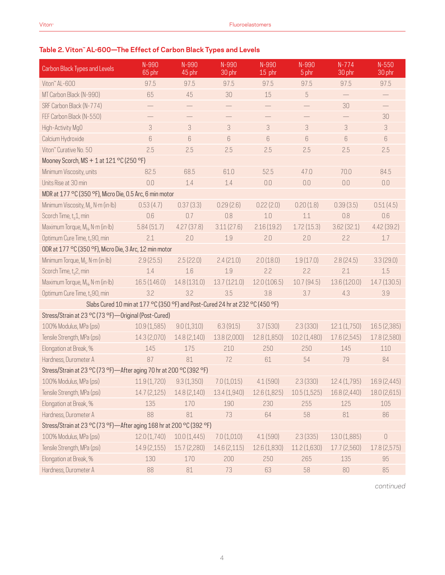## **Table 2. Viton™ AL-600—The Effect of Carbon Black Types and Levels**

| Carbon Black Types and Levels                                        | N-990<br>65 phr                                                               | N-990<br>45 phr           | N-990<br>30 phr | N-990<br>15 phr | N-990<br>5 phr | $N-774$<br>30 phr         | $N-550$<br>30 phr |
|----------------------------------------------------------------------|-------------------------------------------------------------------------------|---------------------------|-----------------|-----------------|----------------|---------------------------|-------------------|
| Viton" AL-600                                                        | 97.5                                                                          | 97.5                      | 97.5            | 97.5            | 97.5           | 97.5                      | 97.5              |
| MT Carbon Black (N-990)                                              | 65                                                                            | 45                        | 30              | 15              | 5              | $\qquad \qquad -$         |                   |
| SRF Carbon Black (N-774)                                             |                                                                               |                           |                 |                 |                | 30                        |                   |
| FEF Carbon Black (N-550)                                             |                                                                               |                           |                 |                 |                |                           | 30                |
| High-Activity MgO                                                    | 3                                                                             | $\ensuremath{\mathsf{3}}$ | 3               | $\sqrt{3}$      | 3              | $\ensuremath{\mathsf{3}}$ | 3                 |
| Calcium Hydroxide                                                    | 6                                                                             | 6                         | 6               | 6               | 6              | 6                         | 6                 |
| Viton" Curative No. 50                                               | 2.5                                                                           | 2.5                       | 2.5             | 2.5             | 2.5            | 2.5                       | 2.5               |
| Mooney Scorch, MS + 1 at 121 °C (250 °F)                             |                                                                               |                           |                 |                 |                |                           |                   |
| Minimum Viscosity, units                                             | 82.5                                                                          | 68.5                      | 61.0            | 52.5            | 47.0           | 70.0                      | 84.5              |
| Units Rise at 30 min                                                 | 0.0                                                                           | 1.4                       | 1.4             | 0.0             | 0.0            | 0.0                       | 0.0               |
| MDR at 177 °C (350 °F), Micro Die, 0.5 Arc, 6 min motor              |                                                                               |                           |                 |                 |                |                           |                   |
| Minimum Viscosity, M <sub>i</sub> , N·m (in·lb)                      | 0.53(4.7)                                                                     | 0.37(3.3)                 | 0.29(2.6)       | 0.22(2.0)       | 0.20(1.8)      | 0.39(3.5)                 | 0.51(4.5)         |
| Scorch Time, t <sub>s</sub> 1, min                                   | 0.6                                                                           | 0.7                       | 0.8             | 1.0             | 1.1            | 0.8                       | 0.6               |
| Maximum Torque, M <sub>H</sub> , N·m (in·lb)                         | 5.84(51.7)                                                                    | 4.27(37.8)                | 3.11(27.6)      | 2.16(19.2)      | 1.72(15.3)     | 3.62(32.1)                | 4.42(39.2)        |
| Optimum Cure Time, t <sub>c</sub> 90, min                            | 2.1                                                                           | 2.0                       | 1.9             | 2.0             | 2.0            | 2.2                       | $1.7\,$           |
| ODR at 177 °C (350 °F), Micro Die, 3 Arc, 12 min motor               |                                                                               |                           |                 |                 |                |                           |                   |
| Minimum Torque, ML, N·m (in·lb)                                      | 2.9(25.5)                                                                     | 2.5(22.0)                 | 2.4(21.0)       | 2.0(18.0)       | 1.9(17.0)      | 2.8(24.5)                 | 3.3(29.0)         |
| Scorch Time, t <sub>s</sub> 2, min                                   | 1.4                                                                           | 1.6                       | 1.9             | 2.2             | 2.2            | 2.1                       | 1.5               |
| Maximum Torque, MH, N·m (in·lb)                                      | 16.5(146.0)                                                                   | 14.8 (131.0)              | 13.7(121.0)     | 12.0(106.5)     | 10.7(94.5)     | 13.6 (120.0)              | 14.7 (130.5)      |
| Optimum Cure Time, t <sub>c</sub> 90, min                            | 3.2                                                                           | 3.2                       | 3.5             | 3.8             | 3.7            | 4.3                       | 3.9               |
|                                                                      | Slabs Cured 10 min at 177 °C (350 °F) and Post-Cured 24 hr at 232 °C (450 °F) |                           |                 |                 |                |                           |                   |
| Stress/Strain at 23 °C (73 °F) - Original (Post-Cured)               |                                                                               |                           |                 |                 |                |                           |                   |
| 100% Modulus, MPa (psi)                                              | 10.9(1,585)                                                                   | 9.0(1,310)                | 6.3(915)        | 3.7(530)        | 2.3(330)       | 12.1(1,750)               | 16.5 (2,385)      |
| Tensile Strength, MPa (psi)                                          | 14.3 (2,070)                                                                  | 14.8 (2,140)              | 13.8 (2,000)    | 12.8 (1,850)    | 10.2(1,480)    | 17.6 (2,545)              | 17.8 (2,580)      |
| Elongation at Break, %                                               | 145                                                                           | 175                       | 210             | 250             | 250            | 145                       | 110               |
| Hardness, Durometer A                                                | 87                                                                            | 81                        | 72              | 61              | 54             | 79                        | 84                |
| Stress/Strain at 23 °C (73 °F)—After aging 70 hr at 200 °C (392 °F)  |                                                                               |                           |                 |                 |                |                           |                   |
| 100% Modulus, MPa (psi)                                              | 11.9(1,720)                                                                   | 9.3(1,350)                | 7.0(1,015)      | 4.1(590)        | 2.3(330)       | 12.4(1,795)               | 16.9 (2,445)      |
| Tensile Strength, MPa (psi)                                          | 14.7(2,125)                                                                   | 14.8(2,140)               | 13.4(1,940)     | 12.6(1,825)     | 10.5(1,525)    | 16.8 (2,440)              | 18.0(2,615)       |
| Elongation at Break, %                                               | 135                                                                           | 170                       | 190             | 230             | 255            | 125                       | 105               |
| Hardness, Durometer A                                                | 88                                                                            | 81                        | 73              | 64              | 58             | 81                        | 86                |
| Stress/Strain at 23 °C (73 °F)-After aging 168 hr at 200 °C (392 °F) |                                                                               |                           |                 |                 |                |                           |                   |
| 100% Modulus, MPa (psi)                                              | 12.0(1,740)                                                                   | 10.0(1,445)               | 7.0(1,010)      | 4.1(590)        | 2.3(335)       | 13.0(1,885)               | $\cup$            |
| Tensile Strength, MPa (psi)                                          | 14.9(2,155)                                                                   | 15.7(2,280)               | 14.6 (2,115)    | 12.6(1,830)     | 11.2(1,630)    | 17.7(2,560)               | 17.8 (2,575)      |
| Elongation at Break, %                                               | 130                                                                           | 170                       | 200             | 250             | 265            | 135                       | 95                |
| Hardness, Durometer A                                                | 88                                                                            | 81                        | 73              | 63              | 58             | $80\,$                    | 85                |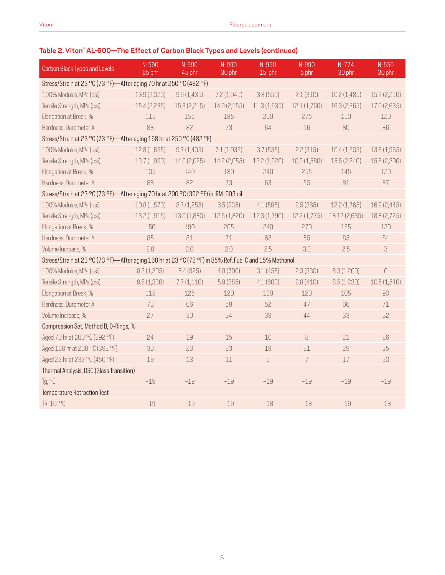# **Table 2. Viton™ AL-600—The Effect of Carbon Black Types and Levels (continued)**

| Carbon Black Types and Levels                                                                          | N-990<br>65 phr | N-990<br>45 phr | N-990<br>30 phr | N-990<br>15 phr | N-990<br>5 phr | $N-774$<br>30 phr | $N - 550$<br>30 phr |
|--------------------------------------------------------------------------------------------------------|-----------------|-----------------|-----------------|-----------------|----------------|-------------------|---------------------|
| Stress/Strain at 23 °C (73 °F)-After aging 70 hr at 250 °C (482 °F)                                    |                 |                 |                 |                 |                |                   |                     |
| 100% Modulus, MPa (psi)                                                                                | 13.9 (2,020)    | 9.9(1, 435)     | 7.2(1,045)      | 3.8(550)        | 2.1(310)       | 10.2(1,485)       | 15.2 (2,210)        |
| Tensile Strength, MPa (psi)                                                                            | 15.4 (2,235)    | 15.3(2,215)     | 14.9 (2,155)    | 11.3(1,635)     | 12.1(1,760)    | 16.3 (2,365)      | 17.0 (2,635)        |
| Elongation at Break, %                                                                                 | 115             | 155             | 185             | 200             | 275            | 150               | 120                 |
| Hardness, Durometer A                                                                                  | 88              | 82              | 73              | 64              | 56             | 80                | 86                  |
| Stress/Strain at 23 °C (73 °F)-After aging 168 hr at 250 °C (482 °F)                                   |                 |                 |                 |                 |                |                   |                     |
| 100% Modulus, MPa (psi)                                                                                | 12.8(1,855)     | 9.7(1,405)      | 7.1(1,035)      | 3.7(535)        | 2.2(315)       | 10.4(1,505)       | 13.6 (1,965)        |
| Tensile Strength, MPa (psi)                                                                            | 13.7 (1,990)    | 14.0 (2,025)    | 14.2 (2,055)    | 13.2 (1,920)    | 10.9 (1,580)   | 15.5(2,240)       | 15.8 (2,290)        |
| Elongation at Break, %                                                                                 | 105             | 140             | 180             | 240             | 255            | 145               | 120                 |
| Hardness, Durometer A                                                                                  | 88              | 82              | 73              | 63              | 55             | 81                | 87                  |
| Stress/Strain at 23 °C (73 °F)-After aging 70 hr at 200 °C (392 °F) in IRM-903 oil                     |                 |                 |                 |                 |                |                   |                     |
| 100% Modulus, MPa (psi)                                                                                | 10.8(1,570)     | 8.7(1,255)      | 6.5(935)        | 4.1(595)        | 2.5(365)       | 12.2(1,765)       | 16.9 (2,445)        |
| Tensile Strength, MPa (psi)                                                                            | 13.2 (1,915)    | 13.0 (1,880)    | 12.6 (1,820)    | 12.3 (1,790)    | 12.2(1,775)    | 18.12 (2,635)     | 18.8 (2,725)        |
| Elongation at Break, %                                                                                 | 150             | 190             | 205             | 240             | 270            | 155               | 120                 |
| Hardness, Durometer A                                                                                  | 85              | 81              | 71              | 62              | 55             | 85                | 84                  |
| Volume Increase, %                                                                                     | 2.0             | 2.0             | 2.0             | 2.5             | 3.0            | 2.5               | 3                   |
| Stress/Strain at 23 °C (73 °F)—After aging 168 hr at 23 °C (73 °F) in 85% Ref. Fuel C and 15% Methanol |                 |                 |                 |                 |                |                   |                     |
| 100% Modulus, MPa (psi)                                                                                | 8.3(1,205)      | 6.4(925)        | 4.8(700)        | 3.1(455)        | 2.3(330)       | 8.3(1,200)        | $\bigcap$           |
| Tensile Strength, MPa (psi)                                                                            | 9.2(1,330)      | 7.7(1,110)      | 5.9(855)        | 4.1(600)        | 2.8(410)       | 8.5(1,230)        | 10.6 (1,540)        |
| Elongation at Break, %                                                                                 | 115             | 125             | 120             | 130             | 120            | 105               | 90                  |
| Hardness, Durometer A                                                                                  | 73              | 66              | 58              | 52              | 47             | 66                | 71                  |
| Volume Increase, %                                                                                     | 27              | 30              | 34              | 39              | 44             | 33                | 32                  |
| Compression Set, Method B, O-Rings, %                                                                  |                 |                 |                 |                 |                |                   |                     |
| Aged 70 hr at 200 °C (392 °F)                                                                          | 24              | 19              | 15              | 10              | 8              | 21                | 26                  |
| Aged 168 hr at 200 °C (392 °F)                                                                         | 30              | 23              | 23              | 19              | 21             | 29                | 35                  |
| Aged 22 hr at 232 °C (450 °F)                                                                          | 19              | 13              | 11              | 5               | 7              | 17                | 20                  |
| Thermal Analysis, DSC (Glass Transition)                                                               |                 |                 |                 |                 |                |                   |                     |
| Tg, °C                                                                                                 | $-19$           | $-19$           | $-19$           | $-19$           | $-19$          | $-19$             | $-19$               |
| Temperature Retraction Test                                                                            |                 |                 |                 |                 |                |                   |                     |
| TR-10, °C                                                                                              | $-19$           | $-19$           | $-19$           | $-18$           | $-18$          | $-19$             | $-18$               |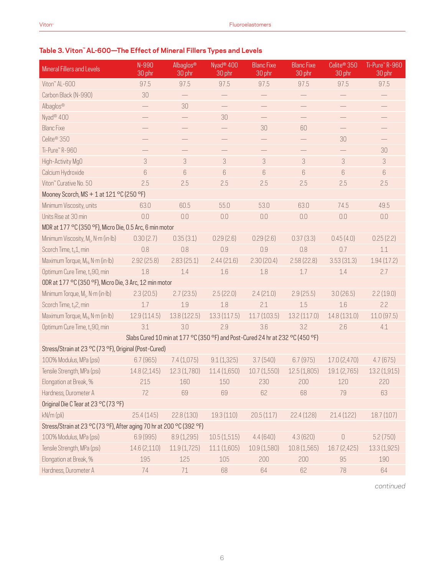## **Table 3. Viton™ AL-600—The Effect of Mineral Fillers Types and Levels**

| Mineral Fillers and Levels                                           | N-990<br>30 phr                                                               | Albaglos®<br>30 phr      | Nyad <sup>®</sup> 400<br>30 phr | <b>Blanc Fixe</b><br>30 phr | <b>Blanc Fixe</b><br>30 phr | Celite <sup>®</sup> 350<br>30 phr | Ti-Pure™R-960<br>30 phr   |
|----------------------------------------------------------------------|-------------------------------------------------------------------------------|--------------------------|---------------------------------|-----------------------------|-----------------------------|-----------------------------------|---------------------------|
| Viton" AL-600                                                        | 97.5                                                                          | 97.5                     | 97.5                            | 97.5                        | 97.5                        | 97.5                              | 97.5                      |
| Carbon Black (N-990)                                                 | 30                                                                            |                          | $\qquad \qquad -$               |                             |                             |                                   | $\overline{\phantom{0}}$  |
| Albaglos®                                                            | $\overline{\phantom{0}}$                                                      | 30                       |                                 |                             |                             |                                   |                           |
| Nyad <sup>®</sup> 400                                                |                                                                               | $\overline{\phantom{0}}$ | 30                              |                             | $\overline{\phantom{0}}$    |                                   |                           |
| <b>Blanc Fixe</b>                                                    |                                                                               |                          |                                 | 30                          | 60                          | $\overline{\phantom{0}}$          |                           |
| Celite <sup>®</sup> 350                                              |                                                                               |                          |                                 |                             |                             | 30                                |                           |
| Ti-Pure™R-960                                                        |                                                                               | $\overline{\phantom{0}}$ | $\overline{\phantom{0}}$        |                             | $\overline{\phantom{0}}$    |                                   | 30                        |
| High-Activity MgO                                                    | 3                                                                             | 3                        | $\ensuremath{\mathsf{3}}$       | 3                           | 3                           | 3                                 | $\ensuremath{\mathsf{3}}$ |
| Calcium Hydroxide                                                    | 6                                                                             | 6                        | $\,6$                           | $6\,$                       | $6\,$                       | 6                                 | $6\,$                     |
| Viton" Curative No. 50                                               | 2.5                                                                           | 2.5                      | 2.5                             | 2.5                         | 2.5                         | 2.5                               | 2.5                       |
| Mooney Scorch, MS + 1 at 121 °C (250 °F)                             |                                                                               |                          |                                 |                             |                             |                                   |                           |
| Minimum Viscosity, units                                             | 63.0                                                                          | 60.5                     | 55.0                            | 53.0                        | 63.0                        | 74.5                              | 49.5                      |
| Units Rise at 30 min                                                 | 0.0                                                                           | 0.0                      | 0.0                             | $0.0\,$                     | 0.0                         | $0.0\,$                           | 0.0                       |
| MDR at 177 °C (350 °F), Micro Die, 0.5 Arc, 6 min motor              |                                                                               |                          |                                 |                             |                             |                                   |                           |
| Minimum Viscosity, M <sub>i</sub> , N·m (in·lb)                      | 0.30(2.7)                                                                     | 0.35(3.1)                | 0.29(2.6)                       | 0.29(2.6)                   | 0.37(3.3)                   | 0.45(4.0)                         | 0.25(2.2)                 |
| Scorch Time, t <sub>s</sub> 1, min                                   | 0.8                                                                           | 0.8                      | 0.9                             | 0.9                         | 0.8                         | 0.7                               | 1.1                       |
| Maximum Torque, MH, N·m (in·lb)                                      | 2.92(25.8)                                                                    | 2.83(25.1)               | 2.44(21.6)                      | 2.30(20.4)                  | 2.58(22.8)                  | 3.53(31.3)                        | 1.94(17.2)                |
| Optimum Cure Time, t <sub>c</sub> 90, min                            | 1.8                                                                           | 1.4                      | 1.6                             | $1.8\,$                     | 1.7                         | 1.4                               | 2.7                       |
| ODR at 177 °C (350 °F), Micro Die, 3 Arc, 12 min motor               |                                                                               |                          |                                 |                             |                             |                                   |                           |
| Minimum Torque, M <sub>i</sub> , N·m (in·lb)                         | 2.3(20.5)                                                                     | 2.7(23.5)                | 2.5(22.0)                       | 2.4(21.0)                   | 2.9(25.5)                   | 3.0(26.5)                         | 2.2(19.0)                 |
| Scorch Time, t <sub>s</sub> 2, min                                   | 1.7                                                                           | 1.9                      | 1.8                             | 2.1                         | 1.5                         | 1.6                               | 2.2                       |
| Maximum Torque, M <sub>H</sub> , N·m (in·lb)                         | 12.9(114.5)                                                                   | 13.8 (122.5)             | 13.3(117.5)                     | 11.7(103.5)                 | 13.2(117.0)                 | 14.8 (131.0)                      | 11.0(97.5)                |
| Optimum Cure Time, t <sub>c</sub> 90, min                            | 3.1                                                                           | 3.0                      | 2.9                             | 3.6                         | 3.2                         | 2.6                               | 4.1                       |
|                                                                      | Slabs Cured 10 min at 177 °C (350 °F) and Post-Cured 24 hr at 232 °C (450 °F) |                          |                                 |                             |                             |                                   |                           |
| Stress/Strain at 23 °C (73 °F), Original (Post-Cured)                |                                                                               |                          |                                 |                             |                             |                                   |                           |
| 100% Modulus, MPa (psi)                                              | 6.7(965)                                                                      | 7.4(1,075)               | 9.1(1,325)                      | 3.7(540)                    | 6.7(975)                    | 17.0(2,470)                       | 4.7(675)                  |
| Tensile Strength, MPa (psi)                                          | 14.8 (2,145)                                                                  | 12.3(1,780)              | 11.4(1,650)                     | 10.7(1,550)                 | 12.5(1,805)                 | 19.1 (2,765)                      | 13.2(1,915)               |
| Elongation at Break, %                                               | 215                                                                           | 160                      | 150                             | 230                         | 200                         | 120                               | 220                       |
| Hardness, Durometer A                                                | 72                                                                            | 69                       | 69                              | 62                          | 68                          | 79                                | 63                        |
| Original Die C Tear at 23 °C (73 °F)                                 |                                                                               |                          |                                 |                             |                             |                                   |                           |
| kN/m (pli)                                                           | 25.4(145)                                                                     | 22.8(130)                | 19.3(110)                       | 20.5(117)                   | 22.4(128)                   | 21.4(122)                         | 18.7(107)                 |
| Stress/Strain at 23 °C (73 °F), After aging 70 hr at 200 °C (392 °F) |                                                                               |                          |                                 |                             |                             |                                   |                           |
| 100% Modulus, MPa (psi)                                              | 6.9 (995)                                                                     | 8.9(1,295)               | 10.5(1,515)                     | 4.4(640)                    | 4.3(620)                    | $\mathbf 0$                       | 5.2(750)                  |
| Tensile Strength, MPa (psi)                                          | 14.6 (2,110)                                                                  | 11.9(1,725)              | 11.1(1,605)                     | 10.9(1,580)                 | 10.8(1,565)                 | 16.7(2,425)                       | 13.3(1,925)               |
| Elongation at Break, %                                               | 195                                                                           | 125                      | 105                             | 200                         | 200                         | 95                                | 190                       |
| Hardness, Durometer A                                                | 74                                                                            | 71                       | 68                              | 64                          | 62                          | 78                                | 64                        |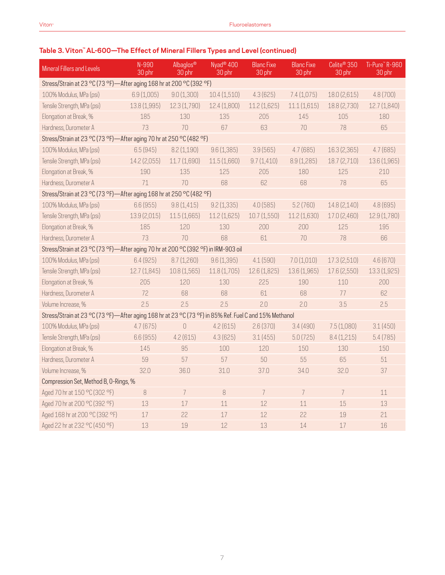# **Table 3. Viton™ AL-600—The Effect of Mineral Fillers Types and Level (continued)**

| Mineral Fillers and Levels                                                                             | N-990<br>30 phr                                                      | Albaglos®<br>30 phr | Nyad <sup>®</sup> 400<br>$30$ phr | <b>Blanc Fixe</b><br>30 phr | <b>Blanc Fixe</b><br>30 phr | Celite <sup>®</sup> 350<br>30 phr | Ti-Pure™R-960<br>30 phr |  |  |  |
|--------------------------------------------------------------------------------------------------------|----------------------------------------------------------------------|---------------------|-----------------------------------|-----------------------------|-----------------------------|-----------------------------------|-------------------------|--|--|--|
|                                                                                                        | Stress/Strain at 23 °C (73 °F)-After aging 168 hr at 200 °C (392 °F) |                     |                                   |                             |                             |                                   |                         |  |  |  |
| 100% Modulus, MPa (psi)                                                                                | 6.9(1,005)                                                           | 9.0(1,300)          | 10.4(1,510)                       | 4.3(625)                    | 7.4(1,075)                  | 18.0 (2,615)                      | 4.8(700)                |  |  |  |
| Tensile Strength, MPa (psi)                                                                            | 13.8 (1,995)                                                         | 12.3 (1,790)        | 12.4 (1,800)                      | 11.2(1,625)                 | 11.1(1,615)                 | 18.8 (2,730)                      | 12.7(1,840)             |  |  |  |
| Elongation at Break, %                                                                                 | 185                                                                  | 130                 | 135                               | 205                         | 145                         | 105                               | 180                     |  |  |  |
| Hardness, Durometer A                                                                                  | 73                                                                   | 70                  | 67                                | 63                          | 70                          | 78                                | 65                      |  |  |  |
| Stress/Strain at 23 °C (73 °F)-After aging 70 hr at 250 °C (482 °F)                                    |                                                                      |                     |                                   |                             |                             |                                   |                         |  |  |  |
| 100% Modulus, MPa (psi)                                                                                | 6.5(945)                                                             | 8.2(1,190)          | 9.6(1,385)                        | 3.9(565)                    | 4.7(685)                    | 16.3 (2,365)                      | 4.7(685)                |  |  |  |
| Tensile Strength, MPa (psi)                                                                            | 14.2 (2,055)                                                         | 11.7 (1,690)        | 11.5(1,660)                       | 9.7(1,410)                  | 8.9 (1,285)                 | 18.7 (2,710)                      | 13.6 (1,965)            |  |  |  |
| Elongation at Break, %                                                                                 | 190                                                                  | 135                 | 125                               | 205                         | 180                         | 125                               | 210                     |  |  |  |
| Hardness, Durometer A                                                                                  | 71                                                                   | 70                  | 68                                | 62                          | 68                          | 78                                | 65                      |  |  |  |
| Stress/Strain at 23 °C (73 °F)-After aging 168 hr at 250 °C (482 °F)                                   |                                                                      |                     |                                   |                             |                             |                                   |                         |  |  |  |
| 100% Modulus, MPa (psi)                                                                                | 6.6(955)                                                             | 9.8(1,415)          | 9.2(1,335)                        | 4.0(585)                    | 5.2(760)                    | 14.8 (2,140)                      | 4.8 (695)               |  |  |  |
| Tensile Strength, MPa (psi)                                                                            | 13.9 (2,015)                                                         | 11.5(1,665)         | 11.2(1,625)                       | 10.7(1,550)                 | 11.2 (1,630)                | 17.0 (2,460)                      | 12.9 (1,780)            |  |  |  |
| Elongation at Break, %                                                                                 | 185                                                                  | 120                 | 130                               | 200                         | 200                         | 125                               | 195                     |  |  |  |
| Hardness, Durometer A                                                                                  | 73                                                                   | 70                  | 68                                | 61                          | 70                          | 78                                | 66                      |  |  |  |
| Stress/Strain at 23 °C (73 °F)-After aging 70 hr at 200 °C (392 °F) in IRM-903 oil                     |                                                                      |                     |                                   |                             |                             |                                   |                         |  |  |  |
| 100% Modulus, MPa (psi)                                                                                | 6.4(925)                                                             | 8.7(1,260)          | 9.6(1,395)                        | 4.1(590)                    | 7.0(1,010)                  | 17.3(2,510)                       | 4.6(670)                |  |  |  |
| Tensile Strength, MPa (psi)                                                                            | 12.7(1,845)                                                          | 10.8(1,565)         | 11.8(1,705)                       | 12.6 (1,825)                | 13.6 (1,965)                | 17.6 (2,550)                      | 13.3 (1,925)            |  |  |  |
| Elongation at Break, %                                                                                 | 205                                                                  | 120                 | 130                               | 225                         | 190                         | 110                               | 200                     |  |  |  |
| Hardness, Durometer A                                                                                  | 72                                                                   | 68                  | 68                                | 61                          | 68                          | 77                                | 62                      |  |  |  |
| Volume Increase, %                                                                                     | 2.5                                                                  | 2.5                 | 2.5                               | 2.0                         | 2.0                         | 3.5                               | 2.5                     |  |  |  |
| Stress/Strain at 23 °C (73 °F)-After aging 168 hr at 23 °C (73 °F) in 85% Ref. Fuel C and 15% Methanol |                                                                      |                     |                                   |                             |                             |                                   |                         |  |  |  |
| 100% Modulus, MPa (psi)                                                                                | 4.7(675)                                                             | $\overline{0}$      | 4.2(615)                          | 2.6(370)                    | 3.4(490)                    | 7.5(1,080)                        | 3.1(450)                |  |  |  |
| Tensile Strength, MPa (psi)                                                                            | 6.6(955)                                                             | 4.2(615)            | 4.3(625)                          | 3.1(455)                    | 5.0(725)                    | 8.4(1,215)                        | 5.4(785)                |  |  |  |
| Elongation at Break, %                                                                                 | 145                                                                  | 95                  | 100                               | 120                         | 150                         | 130                               | 150                     |  |  |  |
| Hardness, Durometer A                                                                                  | 59                                                                   | 57                  | 57                                | 50                          | 55                          | 65                                | 51                      |  |  |  |
| Volume Increase, %                                                                                     | 32.0                                                                 | 36.0                | 31.0                              | 37.0                        | 34.0                        | 32.0                              | 37                      |  |  |  |
| Compression Set, Method B, O-Rings, %                                                                  |                                                                      |                     |                                   |                             |                             |                                   |                         |  |  |  |
| Aged 70 hr at 150 °C (302 °F)                                                                          | 8                                                                    | $\overline{I}$      | 8                                 | $\overline{7}$              | 7                           | $\overline{7}$                    | 11                      |  |  |  |
| Aged 70 hr at 200 °C (392 °F)                                                                          | 13                                                                   | 17                  | 11                                | 12                          | 11                          | 15                                | 13                      |  |  |  |
| Aged 168 hr at 200 °C (392 °F)                                                                         | 17                                                                   | 22                  | 17                                | 12                          | 22                          | 19                                | 21                      |  |  |  |
| Aged 22 hr at 232 °C (450 °F)                                                                          | 13                                                                   | 19                  | 12                                | 13                          | 14                          | 17                                | 16                      |  |  |  |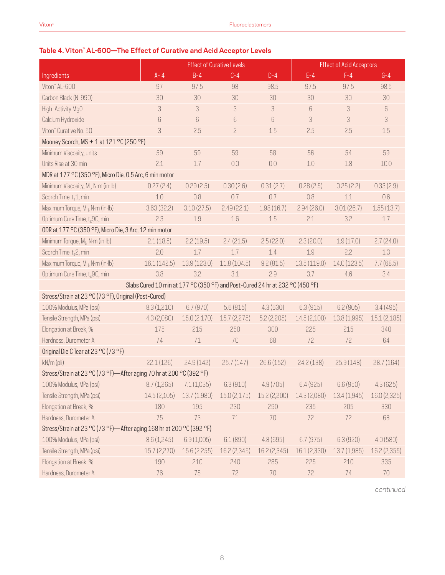# **Table 4. Viton™ AL-600—The Effect of Curative and Acid Acceptor Levels**

|                                                                      | <b>Effect of Curative Levels</b> |                                                                               |                |              | <b>Effect of Acid Acceptors</b> |              |              |
|----------------------------------------------------------------------|----------------------------------|-------------------------------------------------------------------------------|----------------|--------------|---------------------------------|--------------|--------------|
| Ingredients                                                          | $A - 4$                          | $B-4$                                                                         | $C-4$          | $D-4$        | $E-4$                           | $F-4$        | $G-4$        |
| Viton" AL-600                                                        | 97                               | 97.5                                                                          | 98             | 98.5         | 97.5                            | 97.5         | 98.5         |
| Carbon Black (N-990)                                                 | 30                               | 30                                                                            | 30             | 30           | 30                              | 30           | 30           |
| High-Activity MgO                                                    | 3                                | 3                                                                             | 3              | 3            | 6                               | 3            | 6            |
| Calcium Hydroxide                                                    | 6                                | 6                                                                             | $6\,$          | 6            | 3                               | 3            | 3            |
| Viton" Curative No. 50                                               | 3                                | 2.5                                                                           | $\overline{c}$ | 1.5          | 2.5                             | 2.5          | 1.5          |
| Mooney Scorch, MS + 1 at 121 °C (250 °F)                             |                                  |                                                                               |                |              |                                 |              |              |
| Minimum Viscosity, units                                             | 59                               | 59                                                                            | 59             | 58           | 56                              | 54           | 59           |
| Units Rise at 30 min                                                 | 2.1                              | 1.7                                                                           | 0.0            | 0.0          | 1.0                             | 1.8          | 10.0         |
| MDR at 177 °C (350 °F), Micro Die, 0.5 Arc, 6 min motor              |                                  |                                                                               |                |              |                                 |              |              |
| Minimum Viscosity, M <sub>i</sub> , N·m (in·lb)                      | 0.27(2.4)                        | 0.29(2.5)                                                                     | 0.30(2.6)      | 0.31(2.7)    | 0.28(2.5)                       | 0.25(2.2)    | 0.33(2.9)    |
| Scorch Time, t <sub>s</sub> 1, min                                   | 1.0                              | 0.8                                                                           | 0.7            | 0.7          | 0.8                             | 1.1          | 0.6          |
| Maximum Torque, MH, N·m (in·lb)                                      | 3.63(32.2)                       | 3.10(27.5)                                                                    | 2.49(22.1)     | 1.98(16.7)   | 2.94(26.0)                      | 3.01(26.7)   | 1.55(13.7)   |
| Optimum Cure Time, t <sub>c</sub> 90, min                            | 2.3                              | 1.9                                                                           | 1.6            | 1.5          | 2.1                             | 3.2          | 1.7          |
| ODR at 177 °C (350 °F), Micro Die, 3 Arc, 12 min motor               |                                  |                                                                               |                |              |                                 |              |              |
| Minimum Torque, M <sub>I</sub> , N·m (in·lb)                         | 2.1(18.5)                        | 2.2(19.5)                                                                     | 2.4(21.5)      | 2.5(22.0)    | 2.3(20.0)                       | 1.9(17.0)    | 2.7(24.0)    |
| Scorch Time, t <sub>s</sub> 2, min                                   | 2.0                              | 1.7                                                                           | 1.7            | 1.4          | 1.9                             | 2.2          | 1.3          |
| Maximum Torque, MH, N·m (in·lb)                                      | 16.1 (142.5)                     | 13.9 (123.0)                                                                  | 11.8(104.5)    | 9.2(81.5)    | 13.5(119.0)                     | 14.0 (123.5) | 7.7(68.5)    |
| Optimum Cure Time, t <sub>c</sub> 90, min                            | 3.8                              | 3.2                                                                           | 3.1            | 2.9          | 3.7                             | 4.6          | 3.4          |
|                                                                      |                                  | Slabs Cured 10 min at 177 °C (350 °F) and Post-Cured 24 hr at 232 °C (450 °F) |                |              |                                 |              |              |
| Stress/Strain at 23 °C (73 °F), Original (Post-Cured)                |                                  |                                                                               |                |              |                                 |              |              |
| 100% Modulus, MPa (psi)                                              | 8.3(1,210)                       | 6.7(970)                                                                      | 5.6(815)       | 4.3(630)     | 6.3(915)                        | 6.2(905)     | 3.4(495)     |
| Tensile Strength, MPa (psi)                                          | 4.3(2,080)                       | 15.0(2,170)                                                                   | 15.7(2,275)    | 5.2(2,205)   | 14.5(2,100)                     | 13.8 (1,995) | 15.1(2,185)  |
| Elongation at Break, %                                               | 175                              | 215                                                                           | 250            | 300          | 225                             | 215          | 340          |
| Hardness, Durometer A                                                | 74                               | 71                                                                            | 70             | 68           | 72                              | 72           | 64           |
| Original Die C Tear at 23 °C (73 °F)                                 |                                  |                                                                               |                |              |                                 |              |              |
| kN/m (pli)                                                           | 22.1(126)                        | 24.9(142)                                                                     | 25.7(147)      | 26.6(152)    | 24.2 (138)                      | 25.9(148)    | 28.7(164)    |
| Stress/Strain at 23 °C (73 °F)-After aging 70 hr at 200 °C (392 °F)  |                                  |                                                                               |                |              |                                 |              |              |
| 100% Modulus, MPa (psi) 8.7 (1,265) 7.1 (1,035) 6.3 (910)            |                                  |                                                                               |                | 4.9(705)     | 6.4(925)                        | 6.6(950)     | 4.3(625)     |
| Tensile Strength, MPa (psi)                                          | 14.5 (2,105)                     | 13.7 (1,980)                                                                  | 15.0(2,175)    | 15.2 (2,200) | 14.3 (2,080)                    | 13.4 (1,945) | 16.0 (2,325) |
| Elongation at Break, %                                               | 180                              | 195                                                                           | 230            | 290          | 235                             | 205          | 330          |
| Hardness, Durometer A                                                | 75                               | 73                                                                            | $71\,$         | 70           | 72                              | 72           | 68           |
| Stress/Strain at 23 °C (73 °F)-After aging 168 hr at 200 °C (392 °F) |                                  |                                                                               |                |              |                                 |              |              |
| 100% Modulus, MPa (psi)                                              | 8.6(1,245)                       | 6.9(1,005)                                                                    | 6.1(890)       | 4.8(695)     | 6.7(975)                        | 6.3(920)     | 4.0(580)     |
| Tensile Strength, MPa (psi)                                          | 15.7 (2,270)                     | 15.6 (2,255)                                                                  | 16.2 (2,345)   | 16.2 (2,345) | 16.1 (2,330)                    | 13.7(1,985)  | 16.2 (2,355) |
| Elongation at Break, %                                               | 190                              | 210                                                                           | 240            | 285          | 225                             | 210          | 335          |
| Hardness, Durometer A                                                | 76                               | 75                                                                            | 72             | $70\,$       | 72                              | 74           | 70           |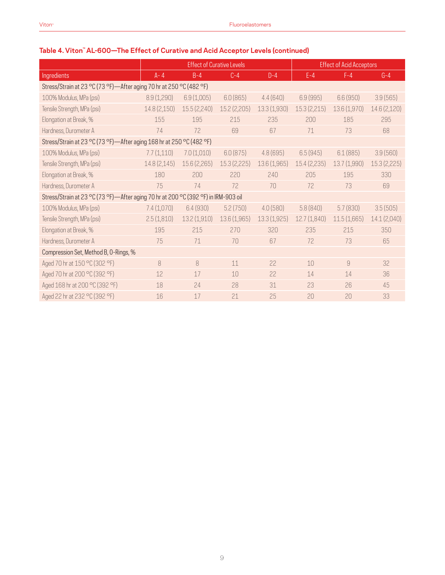# **Table 4. Viton™ AL-600—The Effect of Curative and Acid Acceptor Levels (continued)**

|                                                                                    | <b>Effect of Curative Levels</b> |              |              |              | <b>Effect of Acid Acceptors</b> |              |              |  |  |
|------------------------------------------------------------------------------------|----------------------------------|--------------|--------------|--------------|---------------------------------|--------------|--------------|--|--|
| Ingredients                                                                        | $A - 4$                          | $B-4$        | $C-4$        | $D-4$        | $E - 4$                         | $F-4$        | $G-4$        |  |  |
| Stress/Strain at 23 °C (73 °F)-After aging 70 hr at 250 °C (482 °F)                |                                  |              |              |              |                                 |              |              |  |  |
| 100% Modulus, MPa (psi)                                                            | 8.9(1,290)                       | 6.9(1,005)   | 6.0(865)     | 4.4(640)     | 6.9(995)                        | 6.6(950)     | 3.9(565)     |  |  |
| Tensile Strength, MPa (psi)                                                        | 14.8 (2,150)                     | 15.5(2,240)  | 15.2 (2,205) | 13.3 (1,930) | 15.3(2,215)                     | 13.6 (1,970) | 14.6 (2,120) |  |  |
| Elongation at Break, %                                                             | 155                              | 195          | 215          | 235          | 200                             | 185          | 295          |  |  |
| Hardness, Durometer A                                                              | 74                               | 72           | 69           | 67           | 71                              | 73           | 68           |  |  |
| Stress/Strain at 23 °C (73 °F)-After aging 168 hr at 250 °C (482 °F)               |                                  |              |              |              |                                 |              |              |  |  |
| 100% Modulus, MPa (psi)                                                            | 7.7(1,110)                       | 7.0(1,010)   | 6.0(875)     | 4.8 (695)    | 6.5(945)                        | 6.1(885)     | 3.9(560)     |  |  |
| Tensile Strength, MPa (psi)                                                        | 14.8 (2,145)                     | 15.6 (2,265) | 15.3 (2,225) | 13.6 (1,965) | 15.4 (2,235)                    | 13.7 (1,990) | 15.3 (2,225) |  |  |
| Elongation at Break, %                                                             | 180                              | 200          | 220          | 240          | 205                             | 195          | 330          |  |  |
| Hardness, Durometer A                                                              | 75                               | 74           | 72           | 70           | 72                              | 73           | 69           |  |  |
| Stress/Strain at 23 °C (73 °F)-After aging 70 hr at 200 °C (392 °F) in IRM-903 oil |                                  |              |              |              |                                 |              |              |  |  |
| 100% Modulus, MPa (psi)                                                            | 7.4(1,070)                       | 6.4 (930)    | 5.2(750)     | 4.0(580)     | 5.8(840)                        | 5.7(830)     | 3.5(505)     |  |  |
| Tensile Strength, MPa (psi)                                                        | 2.5(1,810)                       | 13.2(1,910)  | 13.6 (1,965) | 13.3(1,925)  | 12.7(1,840)                     | 11.5(1,665)  | 14.1 (2,040) |  |  |
| Elongation at Break, %                                                             | 195                              | 215          | 270          | 320          | 235                             | 215          | 350          |  |  |
| Hardness, Durometer A                                                              | 75                               | 71           | 70           | 67           | 72                              | 73           | 65           |  |  |
| Compression Set, Method B, O-Rings, %                                              |                                  |              |              |              |                                 |              |              |  |  |
| Aged 70 hr at 150 °C (302 °F)                                                      | 8                                | 8            | 11           | 22           | 10                              | 9            | 32           |  |  |
| Aged 70 hr at 200 °C (392 °F)                                                      | 12                               | 17           | 10           | 22           | 14                              | 14           | 36           |  |  |
| Aged 168 hr at 200 °C (392 °F)                                                     | 18                               | 24           | 28           | 31           | 23                              | 26           | 45           |  |  |
| Aged 22 hr at 232 °C (392 °F)                                                      | 16                               | 17           | 21           | 25           | 20                              | 20           | 33           |  |  |